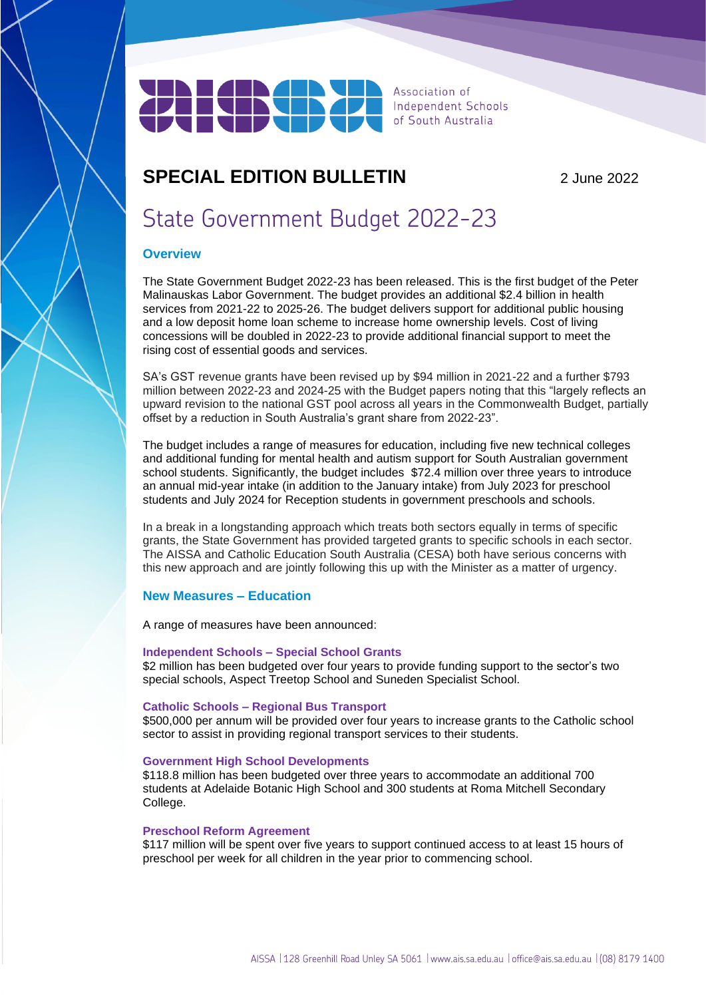

# **SPECIAL EDITION BULLETIN** 2 June 2022

# State Government Budget 2022-23

# **Overview**

The State Government Budget 2022-23 has been released. This is the first budget of the Peter Malinauskas Labor Government. The budget provides an additional \$2.4 billion in health services from 2021-22 to 2025-26. The budget delivers support for additional public housing and a low deposit home loan scheme to increase home ownership levels. Cost of living concessions will be doubled in 2022-23 to provide additional financial support to meet the rising cost of essential goods and services.

SA's GST revenue grants have been revised up by \$94 million in 2021-22 and a further \$793 million between 2022-23 and 2024-25 with the Budget papers noting that this "largely reflects an upward revision to the national GST pool across all years in the Commonwealth Budget, partially offset by a reduction in South Australia's grant share from 2022-23".

The budget includes a range of measures for education, including five new technical colleges and additional funding for mental health and autism support for South Australian government school students. Significantly, the budget includes \$72.4 million over three years to introduce an annual mid-year intake (in addition to the January intake) from July 2023 for preschool students and July 2024 for Reception students in government preschools and schools.

In a break in a longstanding approach which treats both sectors equally in terms of specific grants, the State Government has provided targeted grants to specific schools in each sector. The AISSA and Catholic Education South Australia (CESA) both have serious concerns with this new approach and are jointly following this up with the Minister as a matter of urgency.

# **New Measures – Education**

A range of measures have been announced:

### **Independent Schools – Special School Grants**

\$2 million has been budgeted over four years to provide funding support to the sector's two special schools, Aspect Treetop School and Suneden Specialist School.

#### **Catholic Schools – Regional Bus Transport**

\$500,000 per annum will be provided over four years to increase grants to the Catholic school sector to assist in providing regional transport services to their students.

#### **Government High School Developments**

\$118.8 million has been budgeted over three years to accommodate an additional 700 students at Adelaide Botanic High School and 300 students at Roma Mitchell Secondary College.

#### **Preschool Reform Agreement**

\$117 million will be spent over five years to support continued access to at least 15 hours of preschool per week for all children in the year prior to commencing school.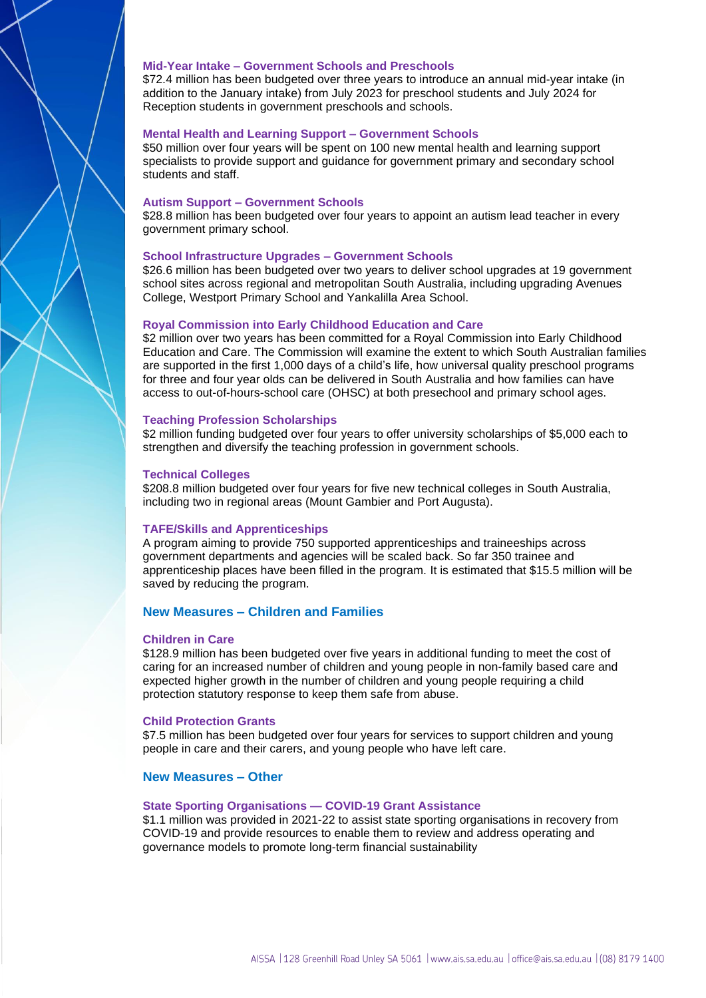#### **Mid-Year Intake – Government Schools and Preschools**

\$72.4 million has been budgeted over three years to introduce an annual mid-year intake (in addition to the January intake) from July 2023 for preschool students and July 2024 for Reception students in government preschools and schools.

#### **Mental Health and Learning Support – Government Schools**

\$50 million over four years will be spent on 100 new mental health and learning support specialists to provide support and guidance for government primary and secondary school students and staff.

#### **Autism Support – Government Schools**

\$28.8 million has been budgeted over four years to appoint an autism lead teacher in every government primary school.

#### **School Infrastructure Upgrades – Government Schools**

\$26.6 million has been budgeted over two years to deliver school upgrades at 19 government school sites across regional and metropolitan South Australia, including upgrading Avenues College, Westport Primary School and Yankalilla Area School.

#### **Royal Commission into Early Childhood Education and Care**

\$2 million over two years has been committed for a Royal Commission into Early Childhood Education and Care. The Commission will examine the extent to which South Australian families are supported in the first 1,000 days of a child's life, how universal quality preschool programs for three and four year olds can be delivered in South Australia and how families can have access to out-of-hours-school care (OHSC) at both presechool and primary school ages.

#### **Teaching Profession Scholarships**

\$2 million funding budgeted over four years to offer university scholarships of \$5,000 each to strengthen and diversify the teaching profession in government schools.

#### **Technical Colleges**

\$208.8 million budgeted over four years for five new technical colleges in South Australia, including two in regional areas (Mount Gambier and Port Augusta).

#### **TAFE/Skills and Apprenticeships**

A program aiming to provide 750 supported apprenticeships and traineeships across government departments and agencies will be scaled back. So far 350 trainee and apprenticeship places have been filled in the program. It is estimated that \$15.5 million will be saved by reducing the program.

#### **New Measures – Children and Families**

#### **Children in Care**

\$128.9 million has been budgeted over five years in additional funding to meet the cost of caring for an increased number of children and young people in non-family based care and expected higher growth in the number of children and young people requiring a child protection statutory response to keep them safe from abuse.

#### **Child Protection Grants**

\$7.5 million has been budgeted over four years for services to support children and young people in care and their carers, and young people who have left care.

#### **New Measures – Other**

#### **State Sporting Organisations — COVID-19 Grant Assistance**

\$1.1 million was provided in 2021-22 to assist state sporting organisations in recovery from COVID-19 and provide resources to enable them to review and address operating and governance models to promote long-term financial sustainability